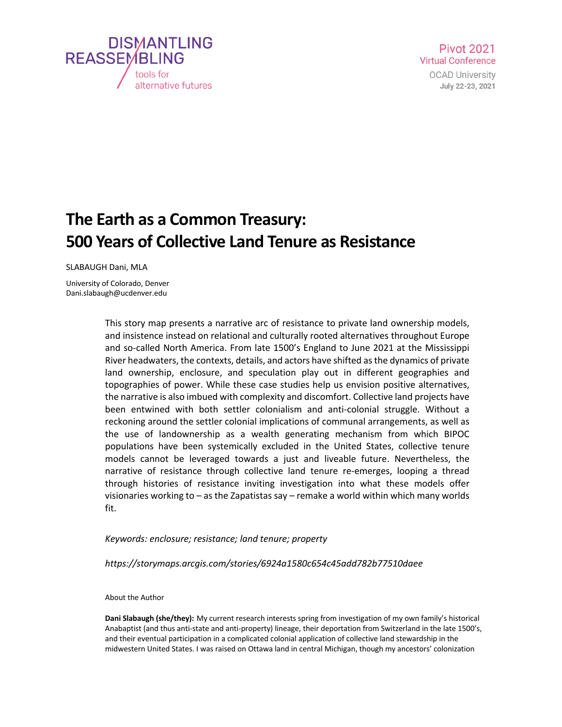

## **The Earth as a Common Treasury: 500 Years of Collective Land Tenure as Resistance**

SLABAUGH Dani, MLA

University of Colorado, Denver Dani.slabaugh@ucdenver.edu

> This story map presents a narrative arc of resistance to private land ownership models, and insistence instead on relational and culturally rooted alternatives throughout Europe and so-called North America. From late 1500's England to June 2021 at the Mississippi River headwaters, the contexts, details, and actors have shifted as the dynamics of private land ownership, enclosure, and speculation play out in different geographies and topographies of power. While these case studies help us envision positive alternatives, the narrative is also imbued with complexity and discomfort. Collective land projects have been entwined with both settler colonialism and anti-colonial struggle. Without a reckoning around the settler colonial implications of communal arrangements, as well as the use of landownership as a wealth generating mechanism from which BIPOC populations have been systemically excluded in the United States, collective tenure models cannot be leveraged towards a just and liveable future. Nevertheless, the narrative of resistance through collective land tenure re-emerges, looping a thread through histories of resistance inviting investigation into what these models offer visionaries working to – as the Zapatistas say – remake a world within which many worlds fit.

## *Keywords: enclosure; resistance; land tenure; property*

*https://storymaps.arcgis.com/stories/6924a1580c654c45add782b77510daee*

About the Author

**Dani Slabaugh (she/they):** My current research interests spring from investigation of my own family's historical Anabaptist (and thus anti-state and anti-property) lineage, their deportation from Switzerland in the late 1500's, and their eventual participation in a complicated colonial application of collective land stewardship in the midwestern United States. I was raised on Ottawa land in central Michigan, though my ancestors' colonization